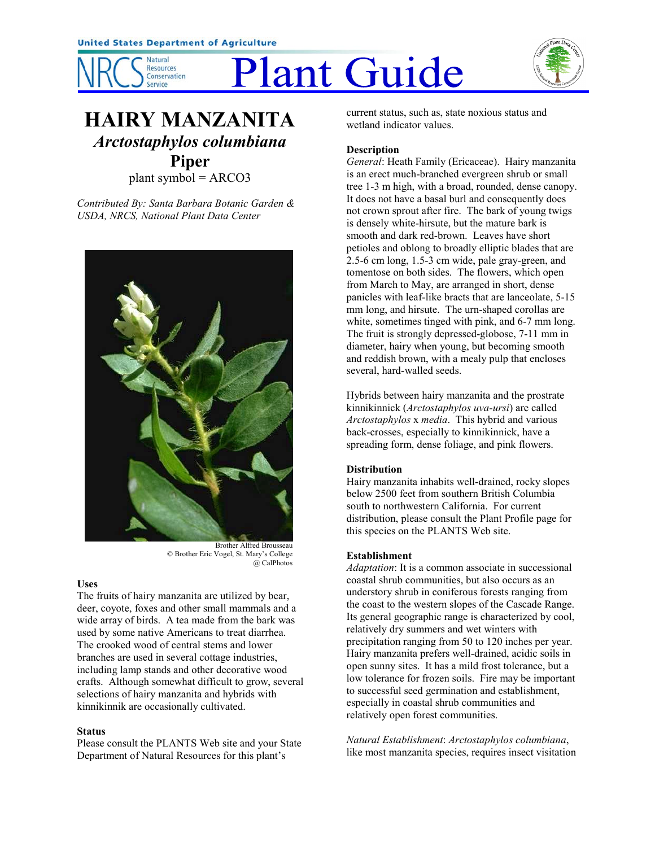

# **Plant Guide**



# **HAIRY MANZANITA** *Arctostaphylos columbiana* **Piper** plant symbol = ARCO3

*Contributed By: Santa Barbara Botanic Garden & USDA, NRCS, National Plant Data Center*



Brother Alfred Brousseau © Brother Eric Vogel, St. Maryís College @ CalPhotos

## **Uses**

The fruits of hairy manzanita are utilized by bear, deer, coyote, foxes and other small mammals and a wide array of birds. A tea made from the bark was used by some native Americans to treat diarrhea. The crooked wood of central stems and lower branches are used in several cottage industries, including lamp stands and other decorative wood crafts. Although somewhat difficult to grow, several selections of hairy manzanita and hybrids with kinnikinnik are occasionally cultivated.

#### **Status**

Please consult the PLANTS Web site and your State Department of Natural Resources for this plant's

current status, such as, state noxious status and wetland indicator values.

# **Description**

*General*: Heath Family (Ericaceae). Hairy manzanita is an erect much-branched evergreen shrub or small tree 1-3 m high, with a broad, rounded, dense canopy. It does not have a basal burl and consequently does not crown sprout after fire. The bark of young twigs is densely white-hirsute, but the mature bark is smooth and dark red-brown. Leaves have short petioles and oblong to broadly elliptic blades that are 2.5-6 cm long, 1.5-3 cm wide, pale gray-green, and tomentose on both sides. The flowers, which open from March to May, are arranged in short, dense panicles with leaf-like bracts that are lanceolate, 5-15 mm long, and hirsute. The urn-shaped corollas are white, sometimes tinged with pink, and 6-7 mm long. The fruit is strongly depressed-globose, 7-11 mm in diameter, hairy when young, but becoming smooth and reddish brown, with a mealy pulp that encloses several, hard-walled seeds.

Hybrids between hairy manzanita and the prostrate kinnikinnick (*Arctostaphylos uva-ursi*) are called *Arctostaphylos* x *media*. This hybrid and various back-crosses, especially to kinnikinnick, have a spreading form, dense foliage, and pink flowers.

## **Distribution**

Hairy manzanita inhabits well-drained, rocky slopes below 2500 feet from southern British Columbia south to northwestern California. For current distribution, please consult the Plant Profile page for this species on the PLANTS Web site.

## **Establishment**

*Adaptation*: It is a common associate in successional coastal shrub communities, but also occurs as an understory shrub in coniferous forests ranging from the coast to the western slopes of the Cascade Range. Its general geographic range is characterized by cool, relatively dry summers and wet winters with precipitation ranging from 50 to 120 inches per year. Hairy manzanita prefers well-drained, acidic soils in open sunny sites. It has a mild frost tolerance, but a low tolerance for frozen soils. Fire may be important to successful seed germination and establishment, especially in coastal shrub communities and relatively open forest communities.

*Natural Establishment*: *Arctostaphylos columbiana*, like most manzanita species, requires insect visitation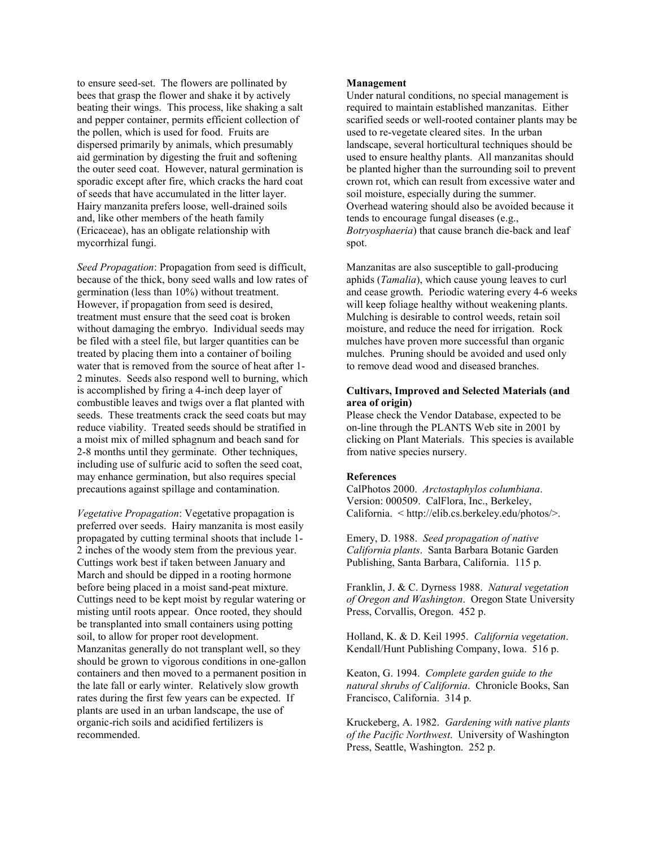to ensure seed-set. The flowers are pollinated by bees that grasp the flower and shake it by actively beating their wings. This process, like shaking a salt and pepper container, permits efficient collection of the pollen, which is used for food. Fruits are dispersed primarily by animals, which presumably aid germination by digesting the fruit and softening the outer seed coat. However, natural germination is sporadic except after fire, which cracks the hard coat of seeds that have accumulated in the litter layer. Hairy manzanita prefers loose, well-drained soils and, like other members of the heath family (Ericaceae), has an obligate relationship with mycorrhizal fungi.

*Seed Propagation*: Propagation from seed is difficult, because of the thick, bony seed walls and low rates of germination (less than 10%) without treatment. However, if propagation from seed is desired, treatment must ensure that the seed coat is broken without damaging the embryo. Individual seeds may be filed with a steel file, but larger quantities can be treated by placing them into a container of boiling water that is removed from the source of heat after 1- 2 minutes. Seeds also respond well to burning, which is accomplished by firing a 4-inch deep layer of combustible leaves and twigs over a flat planted with seeds. These treatments crack the seed coats but may reduce viability. Treated seeds should be stratified in a moist mix of milled sphagnum and beach sand for 2-8 months until they germinate. Other techniques, including use of sulfuric acid to soften the seed coat, may enhance germination, but also requires special precautions against spillage and contamination.

*Vegetative Propagation*: Vegetative propagation is preferred over seeds. Hairy manzanita is most easily propagated by cutting terminal shoots that include 1- 2 inches of the woody stem from the previous year. Cuttings work best if taken between January and March and should be dipped in a rooting hormone before being placed in a moist sand-peat mixture. Cuttings need to be kept moist by regular watering or misting until roots appear. Once rooted, they should be transplanted into small containers using potting soil, to allow for proper root development. Manzanitas generally do not transplant well, so they should be grown to vigorous conditions in one-gallon containers and then moved to a permanent position in the late fall or early winter. Relatively slow growth rates during the first few years can be expected. If plants are used in an urban landscape, the use of organic-rich soils and acidified fertilizers is recommended.

# **Management**

Under natural conditions, no special management is required to maintain established manzanitas. Either scarified seeds or well-rooted container plants may be used to re-vegetate cleared sites. In the urban landscape, several horticultural techniques should be used to ensure healthy plants. All manzanitas should be planted higher than the surrounding soil to prevent crown rot, which can result from excessive water and soil moisture, especially during the summer. Overhead watering should also be avoided because it tends to encourage fungal diseases (e.g., *Botryosphaeria*) that cause branch die-back and leaf spot.

Manzanitas are also susceptible to gall-producing aphids (*Tamalia*), which cause young leaves to curl and cease growth. Periodic watering every 4-6 weeks will keep foliage healthy without weakening plants. Mulching is desirable to control weeds, retain soil moisture, and reduce the need for irrigation. Rock mulches have proven more successful than organic mulches. Pruning should be avoided and used only to remove dead wood and diseased branches.

## **Cultivars, Improved and Selected Materials (and area of origin)**

Please check the Vendor Database, expected to be on-line through the PLANTS Web site in 2001 by clicking on Plant Materials. This species is available from native species nursery.

#### **References**

CalPhotos 2000. *Arctostaphylos columbiana*. Version: 000509. CalFlora, Inc., Berkeley, California. < http://elib.cs.berkeley.edu/photos/>.

Emery, D. 1988. *Seed propagation of native California plants*. Santa Barbara Botanic Garden Publishing, Santa Barbara, California. 115 p.

Franklin, J. & C. Dyrness 1988. *Natural vegetation of Oregon and Washington*. Oregon State University Press, Corvallis, Oregon. 452 p.

Holland, K. & D. Keil 1995. *California vegetation*. Kendall/Hunt Publishing Company, Iowa. 516 p.

Keaton, G. 1994. *Complete garden guide to the natural shrubs of California*. Chronicle Books, San Francisco, California. 314 p.

Kruckeberg, A. 1982. *Gardening with native plants of the Pacific Northwest*. University of Washington Press, Seattle, Washington. 252 p.